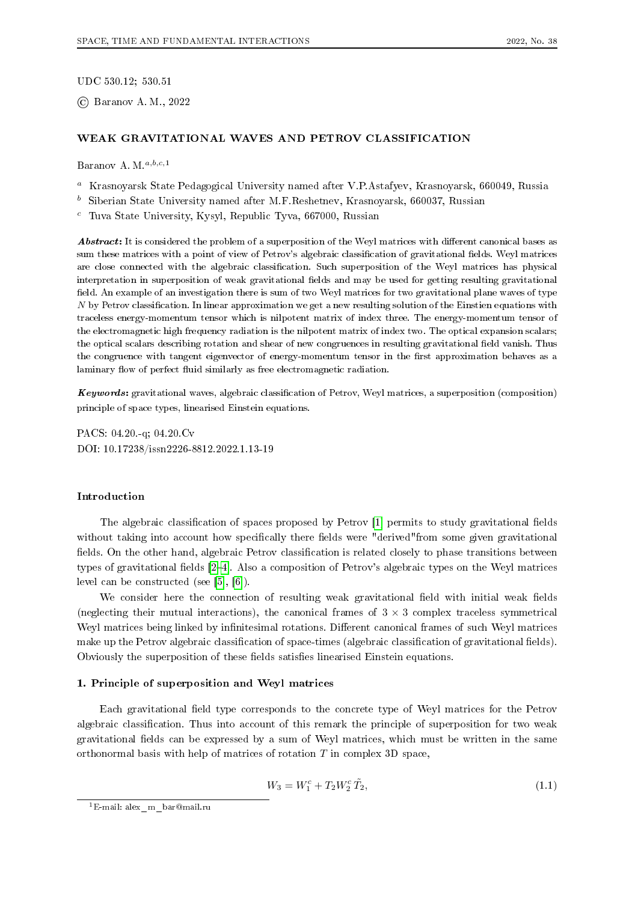UDC 530.12; 530.51

© Baranov A. M., 2022

## WEAK GRAVITATIONAL WAVES AND PETROV CLASSIFICATION

Baranov A. M.  $a,b,c,1$ 

- <sup>a</sup> Krasnoyarsk State Pedagogical University named after V.P.Astafyev, Krasnoyarsk, 660049, Russia
- $<sup>b</sup>$  Siberian State University named after M.F.Reshetnev, Krasnoyarsk, 660037, Russian</sup>

 $\degree$  Tuva State University, Kysyl, Republic Tyva, 667000, Russian

Abstract: It is considered the problem of a superposition of the Weyl matrices with different canonical bases as sum these matrices with a point of view of Petrov's algebraic classification of gravitational fields. Weyl matrices are close connected with the algebraic classification. Such superposition of the Weyl matrices has physical interpretation in superposition of weak gravitational fields and may be used for getting resulting gravitational field. An example of an investigation there is sum of two Weyl matrices for two gravitational plane waves of type by Petrov classification. In linear approximation we get a new resulting solution of the Einstien equations with traceless energy-momentum tensor which is nilpotent matrix of index three. The energy-momentum tensor of the electromagnetic high frequency radiation is the nilpotent matrix of index two. The optical expansion scalars; the optical scalars describing rotation and shear of new congruences in resulting gravitational field vanish. Thus the congruence with tangent eigenvector of energy-momentum tensor in the first approximation behaves as a laminary flow of perfect fluid similarly as free electromagnetic radiation.

Keywords: gravitational waves, algebraic classification of Petrov, Weyl matrices, a superposition (composition) principle of space types, linearised Einstein equations.

PACS: 04.20.-q; 04.20.Cv DOI: 10.17238/issn2226-8812.2022.1.13-19

## Introduction

The algebraic classification of spaces proposed by Petrov [1] permits to study gravitational fields without taking into account how specifically there fields were "derived"from some given gravitational fields. On the other hand, algebraic Petrov classification is related closely to phase transitions between types of gravitational fields [2–4]. Also a composition of Petrov's algebraic types on the Weyl matrices level can be constructed (see [5], [6]).

We consider here the connection of resulting weak gravitational field with initial weak fields (neglecting their mutual interactions), the canonical frames of  $3 \times 3$  complex traceless symmetrical Weyl matrices being linked by infinitesimal rotations. Different canonical frames of such Weyl matrices make up the Petrov algebraic classification of space-times (algebraic classification of gravitational fields). Obviously the superposition of these fields satisfies linearised Einstein equations.

# 1. Principle of superposition and Weyl matrices

Each gravitational field type corresponds to the concrete type of Weyl matrices for the Petrov algebraic classification. Thus into account of this remark the principle of superposition for two weak gravitational fields can be expressed by a sum of Weyl matrices, which must be written in the same orthonormal basis with help of matrices of rotation  $T$  in complex 3D space,

$$
W_3 = W_1^c + T_2 W_2^c \tilde{T}_2, \tag{1.1}
$$

<sup>1</sup>E-mail: alex\_m\_bar@mail.ru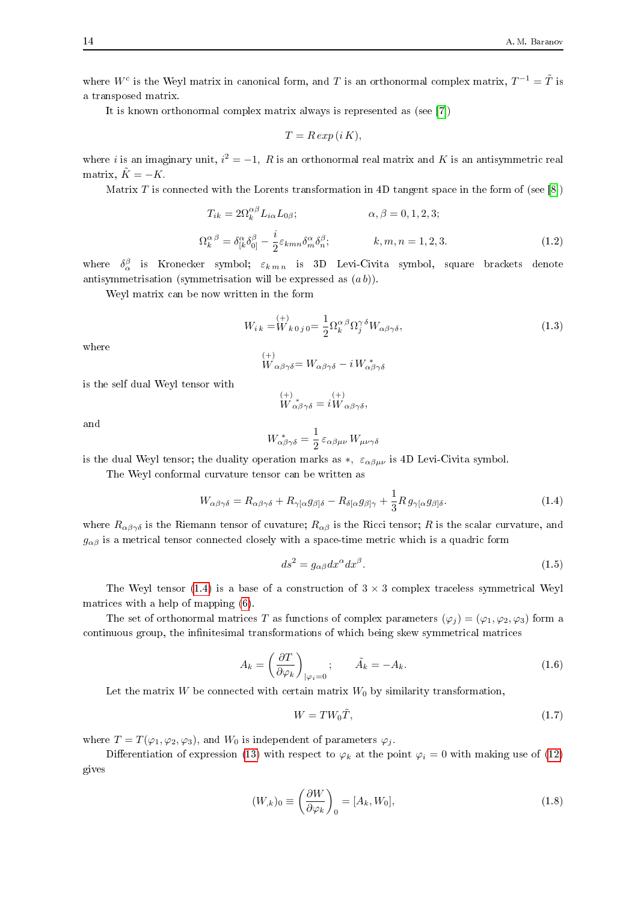where  $W^c$  is the Weyl matrix in canonical form, and T is an orthonormal complex matrix,  $T^{-1} = \tilde{T}$  is a transposed matrix.

It is known orthonormal complex matrix always is represented as (see [7])

$$
T = R \exp(i K),
$$

where *i* is an imaginary unit,  $i^2 = -1$ , R is an orthonormal real matrix and K is an antisymmetric real matrix,  $\tilde{K} = -K$ .

Matrix T is connected with the Lorents transformation in 4D tangent space in the form of (see [8])

$$
T_{ik} = 2\Omega_k^{\alpha\beta} L_{i\alpha} L_{0\beta}; \qquad \alpha, \beta = 0, 1, 2, 3;
$$
  

$$
\Omega_k^{\alpha\beta} = \delta_{[k}^{\alpha} \delta_{0]}^{\beta} - \frac{i}{2} \varepsilon_{kmn} \delta_m^{\alpha} \delta_n^{\beta}; \qquad k, m, n = 1, 2, 3.
$$
 (1.2)

where  $\delta_\alpha^\beta$  is Kronecker symbol;  $\varepsilon_{k,m,n}$  is 3D Levi-Civita symbol, square brackets denote antisymmetrisation (symmetrisation will be expressed as  $(a b)$ ).

Weyl matrix can be now written in the form

$$
W_{i\,k} = W_{k\,0\,j\,0} = \frac{1}{2} \Omega_k^{\alpha\,\beta} \Omega_j^{\gamma\,\delta} W_{\alpha\beta\gamma\delta},\tag{1.3}
$$

where

$$
\stackrel{(+)}{W}_{\alpha\beta\gamma\delta} = W_{\alpha\beta\gamma\delta} - i W_{\alpha\beta\gamma\delta}^*
$$

is the self dual Weyl tensor with

$$
W_{\alpha\beta\gamma\delta}^{(+)} = i W_{\alpha\beta\gamma\delta},
$$

and

$$
W^{\;\ast}_{\alpha\beta\gamma\delta}=\frac{1}{2}\,\varepsilon_{\alpha\beta\mu\nu}\,W_{\mu\nu\gamma\delta}
$$

is the dual Weyl tensor; the duality operation marks as  $*$ ,  $\varepsilon_{\alpha\beta\mu\nu}$  is 4D Levi-Civita symbol.

The Weyl conformal curvature tensor can be written as

$$
W_{\alpha\beta\gamma\delta} = R_{\alpha\beta\gamma\delta} + R_{\gamma[\alpha}g_{\beta]\delta} - R_{\delta[\alpha}g_{\beta]\gamma} + \frac{1}{3}R g_{\gamma[\alpha}g_{\beta]\delta}.
$$
\n(1.4)

where  $R_{\alpha\beta\gamma\delta}$  is the Riemann tensor of cuvature;  $R_{\alpha\beta}$  is the Ricci tensor; R is the scalar curvature, and  $g_{\alpha\beta}$  is a metrical tensor connected closely with a space-time metric which is a quadric form

$$
ds^2 = g_{\alpha\beta} dx^{\alpha} dx^{\beta}.
$$
 (1.5)

The Weyl tensor (1.4) is a base of a construction of  $3 \times 3$  complex traceless symmetrical Weyl matrices with a help of mapping (6).

The set of orthonormal matrices T as functions of complex parameters  $(\varphi_i) = (\varphi_1, \varphi_2, \varphi_3)$  form a continuous group, the infinitesimal transformations of which being skew symmetrical matrices

$$
A_k = \left(\frac{\partial T}{\partial \varphi_k}\right)_{|\varphi_i=0}; \qquad \tilde{A}_k = -A_k. \tag{1.6}
$$

Let the matrix  $W$  be connected with certain matrix  $W_0$  by similarity transformation,

$$
W = TW_0\tilde{T},\tag{1.7}
$$

where  $T = T(\varphi_1, \varphi_2, \varphi_3)$ , and  $W_0$  is independent of parameters  $\varphi_i$ .

Differentiation of expression (13) with respect to  $\varphi_k$  at the point  $\varphi_i = 0$  with making use of (12) gives

$$
(W_{,k})_0 \equiv \left(\frac{\partial W}{\partial \varphi_k}\right)_0 = [A_k, W_0],\tag{1.8}
$$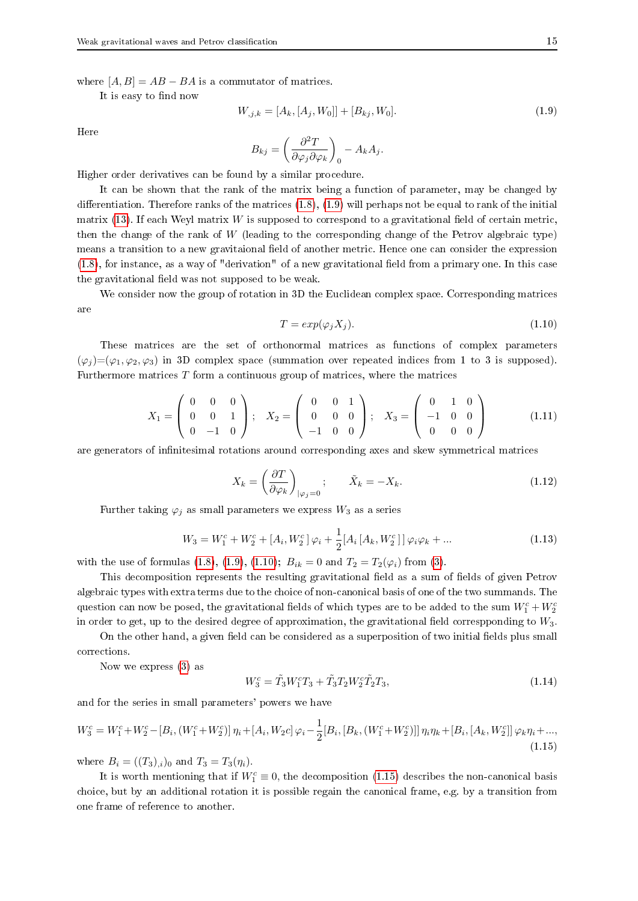where  $[A, B] = AB - BA$  is a commutator of matrices.

It is easy to find now

$$
W_{,j,k} = [A_k, [A_j, W_0]] + [B_{kj}, W_0].
$$
\n(1.9)

Here

$$
B_{kj} = \left(\frac{\partial^2 T}{\partial \varphi_j \partial \varphi_k}\right)_0 - A_k A_j.
$$

Higher order derivatives can be found by a similar procedure.

It can be shown that the rank of the matrix being a function of parameter, may be changed by differentiation. Therefore ranks of the matrices (1.8), (1.9) will perhaps not be equal to rank of the initial matrix (13). If each Weyl matrix  $W$  is supposed to correspond to a gravitational field of certain metric, then the change of the rank of  $W$  (leading to the corresponding change of the Petrov algebraic type) means a transition to a new gravitaional field of another metric. Hence one can consider the expression (1.8), for instance, as a way of "derivation" of a new gravitational field from a primary one. In this case the gravitational field was not supposed to be weak.

We consider now the group of rotation in 3D the Euclidean complex space. Corresponding matrices are

$$
T = exp(\varphi_j X_j). \tag{1.10}
$$

These matrices are the set of orthonormal matrices as functions of complex parameters  $(\varphi_i)=(\varphi_1,\varphi_2,\varphi_3)$  in 3D complex space (summation over repeated indices from 1 to 3 is supposed). Furthermore matrices  $T$  form a continuous group of matrices, where the matrices

$$
X_1 = \left(\begin{array}{ccc} 0 & 0 & 0 \\ 0 & 0 & 1 \\ 0 & -1 & 0 \end{array}\right); \quad X_2 = \left(\begin{array}{ccc} 0 & 0 & 1 \\ 0 & 0 & 0 \\ -1 & 0 & 0 \end{array}\right); \quad X_3 = \left(\begin{array}{ccc} 0 & 1 & 0 \\ -1 & 0 & 0 \\ 0 & 0 & 0 \end{array}\right)
$$
(1.11)

are generators of infinitesimal rotations around corresponding axes and skew symmetrical matrices

$$
X_k = \left(\frac{\partial T}{\partial \varphi_k}\right)_{|\varphi_j=0}; \qquad \tilde{X}_k = -X_k. \tag{1.12}
$$

Further taking  $\varphi_j$  as small parameters we express  $W_3$  as a series

$$
W_3 = W_1^c + W_2^c + [A_i, W_2^c] \varphi_i + \frac{1}{2} [A_i [A_k, W_2^c]] \varphi_i \varphi_k + \dots
$$
\n(1.13)

with the use of formulas (1.8), (1.9), (1.10);  $B_{ik} = 0$  and  $T_2 = T_2(\varphi_i)$  from (3).

This decomposition represents the resulting gravitational field as a sum of fields of given Petrov algebraic types with extra terms due to the choice of non-canonical basis of one of the two summands. The question can now be posed, the gravitational fields of which types are to be added to the sum  $W_1^c + W_2^c$ in order to get, up to the desired degree of approximation, the gravitational field correspponding to  $W_3$ .

On the other hand, a given field can be considered as a superposition of two initial fields plus small corrections.

Now we express (3) as

$$
W_3^c = \tilde{T}_3 W_1^c T_3 + \tilde{T}_3 T_2 W_2^c \tilde{T}_2 T_3, \tag{1.14}
$$

and for the series in small parameters' powers we have

$$
W_3^c = W_1^c + W_2^c - [B_i, (W_1^c + W_2^c)] \eta_i + [A_i, W_2c] \varphi_i - \frac{1}{2} [B_i, [B_k, (W_1^c + W_2^c)]] \eta_i \eta_k + [B_i, [A_k, W_2^c]] \varphi_k \eta_i + \dots, \tag{1.15}
$$

where  $B_i = ((T_3)_{,i})_0$  and  $T_3 = T_3(\eta_i)$ .

It is worth mentioning that if  $W_1^c \equiv 0$ , the decomposition (1.15) describes the non-canonical basis choice, but by an additional rotation it is possible regain the canonical frame, e.g. by a transition from one frame of reference to another.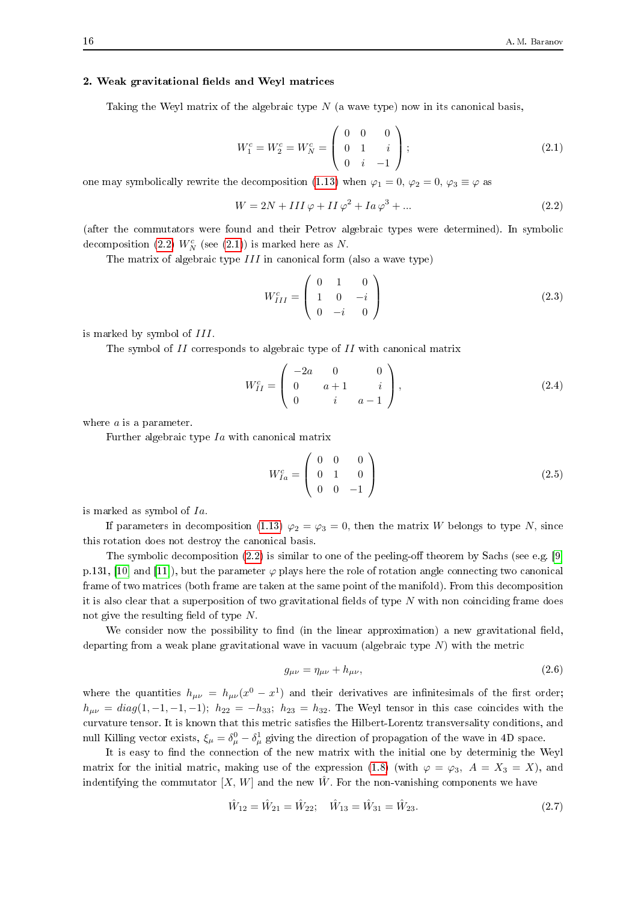#### 2. Weak gravitational fields and Weyl matrices

Taking the Weyl matrix of the algebraic type  $N$  (a wave type) now in its canonical basis,

$$
W_1^c = W_2^c = W_N^c = \begin{pmatrix} 0 & 0 & 0 \\ 0 & 1 & i \\ 0 & i & -1 \end{pmatrix};
$$
\n(2.1)

one may symbolically rewrite the decomposition (1.13) when  $\varphi_1 = 0$ ,  $\varphi_2 = 0$ ,  $\varphi_3 \equiv \varphi$  as

$$
W = 2N + III\varphi + II\varphi^2 + Ia\varphi^3 + \dots \tag{2.2}
$$

(after the commutators were found and their Petrov algebraic types were determined). In symbolic decomposition (2.2)  $W_N^c$  (see (2.1)) is marked here as N.

The matrix of algebraic type  $III$  in canonical form (also a wave type)

$$
W_{III}^{c} = \begin{pmatrix} 0 & 1 & 0 \\ 1 & 0 & -i \\ 0 & -i & 0 \end{pmatrix}
$$
 (2.3)

is marked by symbol of  $III$ .

The symbol of  $II$  corresponds to algebraic type of  $II$  with canonical matrix

$$
W_{II}^{c} = \begin{pmatrix} -2a & 0 & 0 \\ 0 & a+1 & i \\ 0 & i & a-1 \end{pmatrix},
$$
 (2.4)

where  $a$  is a parameter.

Further algebraic type  $I_a$  with canonical matrix

$$
W_{Ia}^c = \begin{pmatrix} 0 & 0 & 0 \\ 0 & 1 & 0 \\ 0 & 0 & -1 \end{pmatrix}
$$
 (2.5)

is marked as symbol of  $Ia$ .

If parameters in decomposition (1.13)  $\varphi_2 = \varphi_3 = 0$ , then the matrix W belongs to type N, since this rotation does not destroy the canonical basis.

The symbolic decomposition (2.2) is similar to one of the peeling-off theorem by Sachs (see e.g. [9] p.131, [10] and [11]), but the parameter  $\varphi$  plays here the role of rotation angle connecting two canonical frame of two matrices (both frame are taken at the same point of the manifold). From this decomposition it is also clear that a superposition of two gravitational fields of type  $N$  with non coinciding frame does not give the resulting field of type  $N$ .

We consider now the possibility to find (in the linear approximation) a new gravitational field, departing from a weak plane gravitational wave in vacuum (algebraic type  $N$ ) with the metric

$$
g_{\mu\nu} = \eta_{\mu\nu} + h_{\mu\nu},\tag{2.6}
$$

where the quantities  $h_{\mu\nu} = h_{\mu\nu}(x^0 - x^1)$  and their derivatives are infinitesimals of the first order;  $h_{\mu\nu} = diag(1, -1, -1, -1); h_{22} = -h_{33}; h_{23} = h_{32}.$  The Weyl tensor in this case coincides with the curvature tensor. It is known that this metric satisfies the Hilbert-Lorentz transversality conditions, and null Killing vector exists,  $\xi_{\mu} = \delta_{\mu}^{0} - \delta_{\mu}^{1}$  giving the direction of propagation of the wave in 4D space.

It is easy to find the connection of the new matrix with the initial one by determinig the Weyl matrix for the initial matric, making use of the expression (1.8) (with  $\varphi = \varphi_3$ ,  $A = X_3 = X$ ), and indentifying the commutator  $[X, W]$  and the new  $\hat{W}$ . For the non-vanishing components we have

$$
\hat{W}_{12} = \hat{W}_{21} = \hat{W}_{22}; \quad \hat{W}_{13} = \hat{W}_{31} = \hat{W}_{23}.
$$
\n(2.7)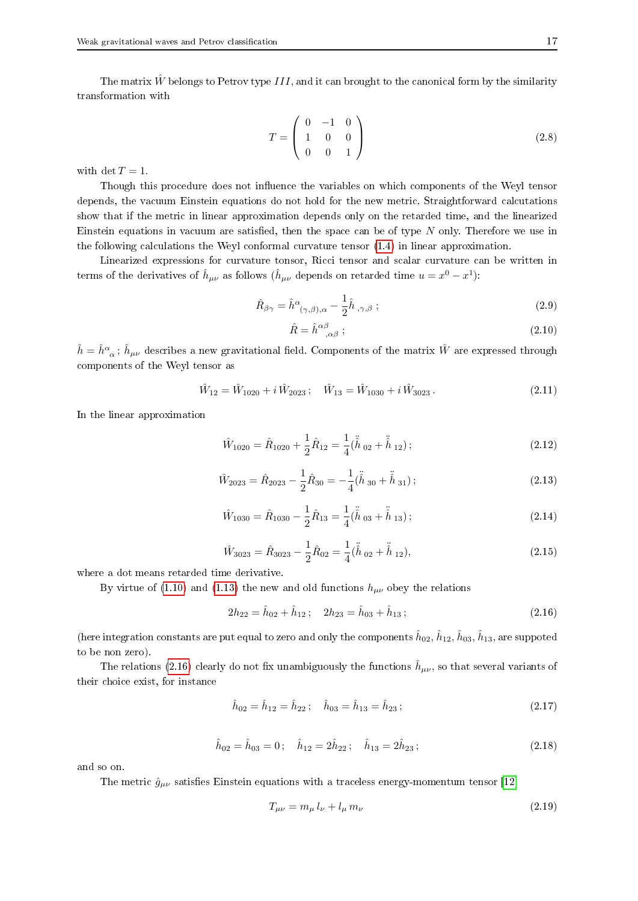The matrix  $\hat{W}$  belongs to Petrov type III, and it can brought to the canonical form by the similarity transformation with

$$
T = \left(\begin{array}{ccc} 0 & -1 & 0 \\ 1 & 0 & 0 \\ 0 & 0 & 1 \end{array}\right) \tag{2.8}
$$

with det  $T = 1$ .

Though this procedure does not influence the variables on which components of the Weyl tensor depends, the vacuum Einstein equations do not hold for the new metric. Straightforward calcutations show that if the metric in linear approximation depends only on the retarded time, and the linearized Einstein equations in vacuum are satisfied, then the space can be of type  $N$  only. Therefore we use in the following calculations the Weyl conformal curvature tensor (1.4) in linear approximation.

Linearized expressions for curvature tonsor, Ricci tensor and scalar curvature can be written in terms of the derivatives of  $\hat{h}_{\mu\nu}$  as follows ( $\hat{h}_{\mu\nu}$  depends on retarded time  $u = x^0 - x^1$ ):

$$
\hat{R}_{\beta\gamma} = \hat{h}^{\alpha}_{(\gamma,\beta),\alpha} - \frac{1}{2}\hat{h}_{,\gamma,\beta} ; \qquad (2.9)
$$

$$
\hat{R} = \hat{h}^{\alpha\beta}_{\quad \alpha\beta} \tag{2.10}
$$

 $\hat{h}=\hat{h}^\alpha_{\;\;\alpha}\,;\,\hat{h}_{\mu\nu}$  describes a new gravitational field. Components of the matrix  $\hat{W}$  are expressed through components of the Weyl tensor as

$$
\hat{W}_{12} = \hat{W}_{1020} + i \hat{W}_{2023}; \quad \hat{W}_{13} = \hat{W}_{1030} + i \hat{W}_{3023}.
$$
\n(2.11)

In the linear approximation

$$
\hat{W}_{1020} = \hat{R}_{1020} + \frac{1}{2}\hat{R}_{12} = \frac{1}{4}(\ddot{\hat{h}}_{02} + \ddot{\hat{h}}_{12});
$$
\n(2.12)

$$
\hat{W}_{2023} = \hat{R}_{2023} - \frac{1}{2}\hat{R}_{30} = -\frac{1}{4}(\ddot{\hat{h}}_{30} + \ddot{\hat{h}}_{31});
$$
\n(2.13)

$$
\hat{W}_{1030} = \hat{R}_{1030} - \frac{1}{2}\hat{R}_{13} = \frac{1}{4}(\ddot{\hat{h}}_{03} + \ddot{\hat{h}}_{13});
$$
\n(2.14)

$$
\hat{W}_{3023} = \hat{R}_{3023} - \frac{1}{2}\hat{R}_{02} = \frac{1}{4}(\ddot{\hat{h}}_{02} + \ddot{\hat{h}}_{12}),
$$
\n(2.15)

where a dot means retarded time derivative.

By virtue of (1.10) and (1.13) the new and old functions  $h_{\mu\nu}$  obey the relations

$$
2h_{22} = \hat{h}_{02} + \hat{h}_{12}; \quad 2h_{23} = \hat{h}_{03} + \hat{h}_{13}; \tag{2.16}
$$

(here integration constants are put equal to zero and only the components  $\hat{h}_{02}, \hat{h}_{12}, \hat{h}_{03}, \hat{h}_{13},$  are suppoted to be non zero).

The relations (2.16) clearly do not fix unambiguously the functions  $\hat{h}_{\mu\nu}$ , so that several variants of their choice exist, for instance

$$
\hat{h}_{02} = \hat{h}_{12} = \hat{h}_{22}; \quad \hat{h}_{03} = \hat{h}_{13} = \hat{h}_{23}; \tag{2.17}
$$

$$
\hat{h}_{02} = \hat{h}_{03} = 0; \quad \hat{h}_{12} = 2\hat{h}_{22}; \quad \hat{h}_{13} = 2\hat{h}_{23}; \tag{2.18}
$$

and so on.

The metric  $\hat{g}_{\mu\nu}$  satisfies Einstein equations with a traceless energy-momentum tensor [12]

$$
T_{\mu\nu} = m_{\mu} l_{\nu} + l_{\mu} m_{\nu}
$$
\n(2.19)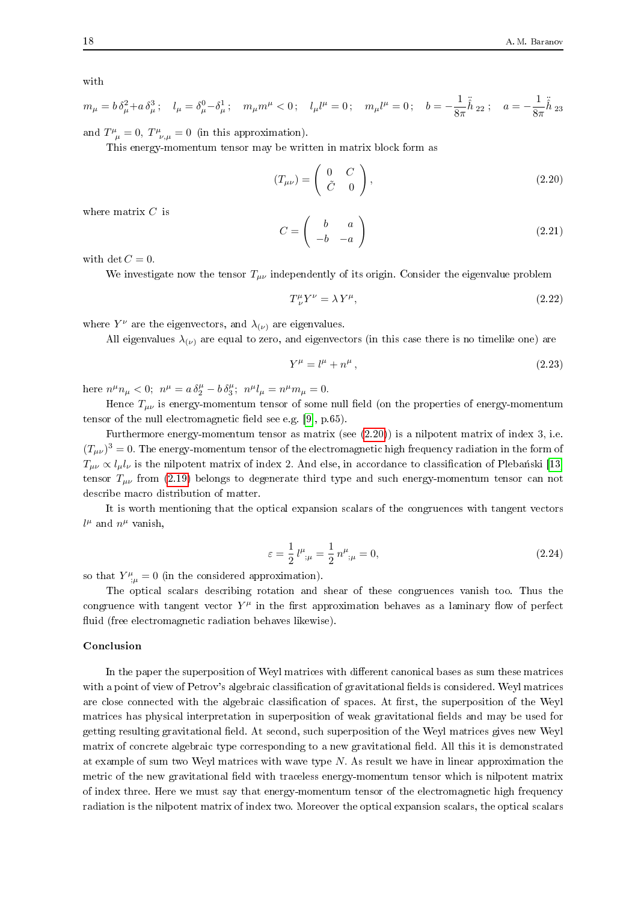with

$$
m_{\mu} = b \, \delta_{\mu}^{2} + a \, \delta_{\mu}^{3} \, ; \quad l_{\mu} = \delta_{\mu}^{0} - \delta_{\mu}^{1} \, ; \quad m_{\mu} m^{\mu} < 0 \, ; \quad l_{\mu} l^{\mu} = 0 \, ; \quad m_{\mu} l^{\mu} = 0 \, ; \quad b = -\frac{1}{8\pi} \tilde{h}_{22} \, ; \quad a = -\frac{1}{8\pi} \tilde{h}_{23}
$$

and  $T^{\mu}_{\mu} = 0$ ,  $T^{\mu}_{\nu,\mu} = 0$  (in this approximation).

This energy-momentum tensor may be written in matrix block form as

$$
(T_{\mu\nu}) = \begin{pmatrix} 0 & C \\ \tilde{C} & 0 \end{pmatrix}, \tag{2.20}
$$

where matrix  $C$  is

$$
C = \left(\begin{array}{cc} b & a \\ -b & -a \end{array}\right) \tag{2.21}
$$

with det  $C = 0$ .

We investigate now the tensor  $T_{\mu\nu}$  independently of its origin. Consider the eigenvalue problem

$$
T^{\mu}_{\ \nu}Y^{\nu} = \lambda Y^{\mu},\tag{2.22}
$$

where  $Y^{\nu}$  are the eigenvectors, and  $\lambda_{(\nu)}$  are eigenvalues.

All eigenvalues  $\lambda_{(\nu)}$  are equal to zero, and eigenvectors (in this case there is no timelike one) are

$$
Y^{\mu} = l^{\mu} + n^{\mu},\tag{2.23}
$$

here  $n^{\mu}n_{\mu} < 0$ ;  $n^{\mu} = a \delta^{\mu}_{2} - b \delta^{\mu}_{3}$ ;  $n^{\mu}l_{\mu} = n^{\mu}m_{\mu} = 0$ .

Hence  $T_{\mu\nu}$  is energy-momentum tensor of some null field (on the properties of energy-momentum tensor of the null electromagnetic field see e.g. [9], p.65).

Furthermore energy-momentum tensor as matrix (see  $(2.20)$ ) is a nilpotent matrix of index 3, i.e.  $(T_{\mu\nu})^3 = 0$ . The energy-momentum tensor of the electromagnetic high frequency radiation in the form of  $T_{\mu\nu} \propto l_{\mu} l_{\nu}$  is the nilpotent matrix of index 2. And else, in accordance to classification of Plebański [13] tensor  $T_{\mu\nu}$  from (2.19) belongs to degenerate third type and such energy-momentum tensor can not describe macro distribution of matter.

It is worth mentioning that the optical expansion scalars of the congruences with tangent vectors  $l^{\mu}$  and  $n^{\mu}$  vanish,

$$
\varepsilon = \frac{1}{2} l^{\mu}_{;\mu} = \frac{1}{2} n^{\mu}_{;\mu} = 0, \qquad (2.24)
$$

so that  $Y^{\mu}_{;\mu} = 0$  (in the considered approximation).

The optical scalars describing rotation and shear of these congruences vanish too. Thus the congruence with tangent vector  $Y^{\mu}$  in the first approximation behaves as a laminary flow of perfect fluid (free electromagnetic radiation behaves likewise).

### Conclusion

In the paper the superposition of Weyl matrices with different canonical bases as sum these matrices with a point of view of Petrov's algebraic classification of gravitational fields is considered. Weyl matrices are close connected with the algebraic classification of spaces. At first, the superposition of the Weyl matrices has physical interpretation in superposition of weak gravitational fields and may be used for getting resulting gravitational field. At second, such superposition of the Weyl matrices gives new Weyl matrix of concrete algebraic type corresponding to a new gravitational field. All this it is demonstrated at example of sum two Weyl matrices with wave type  $N$ . As result we have in linear approximation the metric of the new gravitational field with traceless energy-momentum tensor which is nilpotent matrix of index three. Here we must say that energy-momentum tensor of the electromagnetic high frequency radiation is the nilpotent matrix of index two. Moreover the optical expansion scalars, the optical scalars